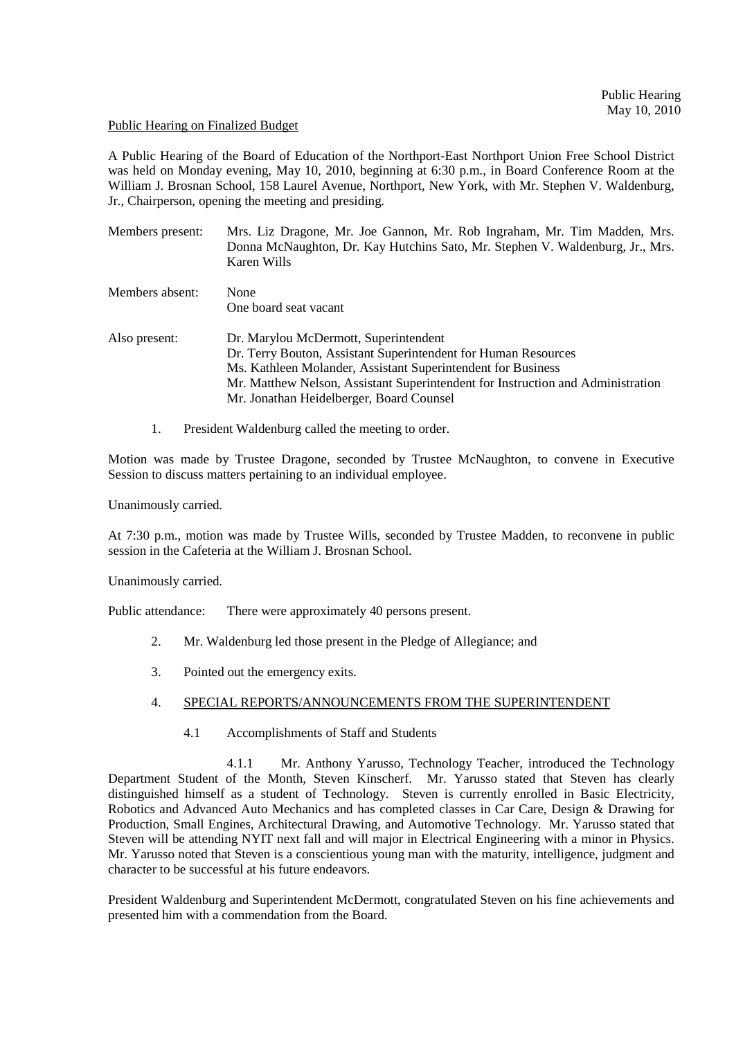## Public Hearing on Finalized Budget

A Public Hearing of the Board of Education of the Northport-East Northport Union Free School District was held on Monday evening, May 10, 2010, beginning at 6:30 p.m., in Board Conference Room at the William J. Brosnan School, 158 Laurel Avenue, Northport, New York, with Mr. Stephen V. Waldenburg, Jr., Chairperson, opening the meeting and presiding.

| Members present: | Mrs. Liz Dragone, Mr. Joe Gannon, Mr. Rob Ingraham, Mr. Tim Madden, Mrs.<br>Donna McNaughton, Dr. Kay Hutchins Sato, Mr. Stephen V. Waldenburg, Jr., Mrs.<br>Karen Wills |
|------------------|--------------------------------------------------------------------------------------------------------------------------------------------------------------------------|
| Members absent:  | None<br>One board seat vacant                                                                                                                                            |
| Also present:    | Dr. Marylou McDermott, Superintendent                                                                                                                                    |
|                  | Dr. Terry Bouton, Assistant Superintendent for Human Resources                                                                                                           |
|                  | Ms. Kathleen Molander, Assistant Superintendent for Business                                                                                                             |
|                  | Mr. Matthew Nelson, Assistant Superintendent for Instruction and Administration                                                                                          |
|                  | Mr. Jonathan Heidelberger, Board Counsel                                                                                                                                 |
|                  |                                                                                                                                                                          |

1. President Waldenburg called the meeting to order.

Motion was made by Trustee Dragone, seconded by Trustee McNaughton, to convene in Executive Session to discuss matters pertaining to an individual employee.

Unanimously carried.

At 7:30 p.m., motion was made by Trustee Wills, seconded by Trustee Madden, to reconvene in public session in the Cafeteria at the William J. Brosnan School.

Unanimously carried.

Public attendance: There were approximately 40 persons present.

- 2. Mr. Waldenburg led those present in the Pledge of Allegiance; and
- 3. Pointed out the emergency exits.

## 4. SPECIAL REPORTS/ANNOUNCEMENTS FROM THE SUPERINTENDENT

4.1 Accomplishments of Staff and Students

 4.1.1 Mr. Anthony Yarusso, Technology Teacher, introduced the Technology Department Student of the Month, Steven Kinscherf. Mr. Yarusso stated that Steven has clearly distinguished himself as a student of Technology. Steven is currently enrolled in Basic Electricity, Robotics and Advanced Auto Mechanics and has completed classes in Car Care, Design & Drawing for Production, Small Engines, Architectural Drawing, and Automotive Technology. Mr. Yarusso stated that Steven will be attending NYIT next fall and will major in Electrical Engineering with a minor in Physics. Mr. Yarusso noted that Steven is a conscientious young man with the maturity, intelligence, judgment and character to be successful at his future endeavors.

President Waldenburg and Superintendent McDermott, congratulated Steven on his fine achievements and presented him with a commendation from the Board.